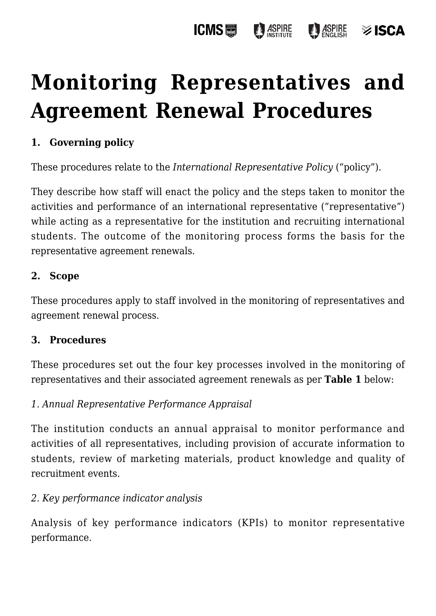#### **ICMS圖** ASPIRE **ASPIRE**  $\otimes$  ISCA

# **[Monitoring Representatives and](https://policies.icms.edu.au/monitoring-representatives-and-agreement-renewal-procedures/) [Agreement Renewal Procedures](https://policies.icms.edu.au/monitoring-representatives-and-agreement-renewal-procedures/)**

### **1. Governing policy**

These procedures relate to the *International Representative Policy* ("policy").

They describe how staff will enact the policy and the steps taken to monitor the activities and performance of an international representative ("representative") while acting as a representative for the institution and recruiting international students. The outcome of the monitoring process forms the basis for the representative agreement renewals.

#### **2. Scope**

These procedures apply to staff involved in the monitoring of representatives and agreement renewal process.

#### **3. Procedures**

These procedures set out the four key processes involved in the monitoring of representatives and their associated agreement renewals as per **Table 1** below:

#### *1. Annual Representative Performance Appraisal*

The institution conducts an annual appraisal to monitor performance and activities of all representatives, including provision of accurate information to students, review of marketing materials, product knowledge and quality of recruitment events.

#### *2. Key performance indicator analysis*

Analysis of key performance indicators (KPIs) to monitor representative performance.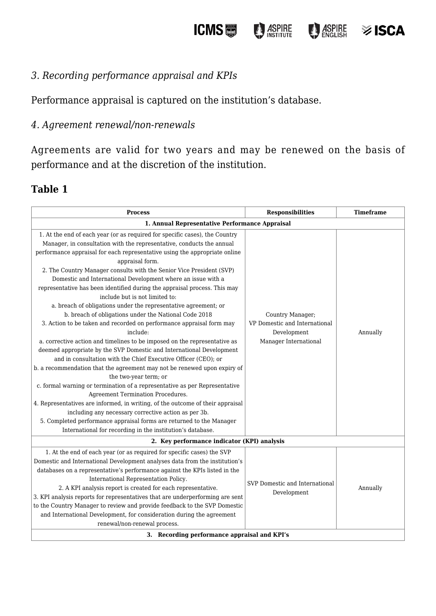**ICMS D** ASPIRE



## **≫ISCA**

#### *3. Recording performance appraisal and KPIs*

Performance appraisal is captured on the institution's database.

#### *4. Agreement renewal/non-renewals*

Agreements are valid for two years and may be renewed on the basis of performance and at the discretion of the institution.

#### **Table 1**

| <b>Process</b>                                                                                                                                                                                                                                                                                                                                                                                                                                                                                                                                                                                                                                                                                                                                                                                                                                                                                                                                                                                                                                                                                                                                                                                                                                                                                                                                                                                                                                              | <b>Responsibilities</b>                                                                   | <b>Timeframe</b> |  |
|-------------------------------------------------------------------------------------------------------------------------------------------------------------------------------------------------------------------------------------------------------------------------------------------------------------------------------------------------------------------------------------------------------------------------------------------------------------------------------------------------------------------------------------------------------------------------------------------------------------------------------------------------------------------------------------------------------------------------------------------------------------------------------------------------------------------------------------------------------------------------------------------------------------------------------------------------------------------------------------------------------------------------------------------------------------------------------------------------------------------------------------------------------------------------------------------------------------------------------------------------------------------------------------------------------------------------------------------------------------------------------------------------------------------------------------------------------------|-------------------------------------------------------------------------------------------|------------------|--|
| 1. Annual Representative Performance Appraisal                                                                                                                                                                                                                                                                                                                                                                                                                                                                                                                                                                                                                                                                                                                                                                                                                                                                                                                                                                                                                                                                                                                                                                                                                                                                                                                                                                                                              |                                                                                           |                  |  |
| 1. At the end of each year (or as required for specific cases), the Country<br>Manager, in consultation with the representative, conducts the annual<br>performance appraisal for each representative using the appropriate online<br>appraisal form.<br>2. The Country Manager consults with the Senior Vice President (SVP)<br>Domestic and International Development where an issue with a<br>representative has been identified during the appraisal process. This may<br>include but is not limited to:<br>a. breach of obligations under the representative agreement; or<br>b. breach of obligations under the National Code 2018<br>3. Action to be taken and recorded on performance appraisal form may<br>include:<br>a. corrective action and timelines to be imposed on the representative as<br>deemed appropriate by the SVP Domestic and International Development<br>and in consultation with the Chief Executive Officer (CEO); or<br>b. a recommendation that the agreement may not be renewed upon expiry of<br>the two-year term; or<br>c. formal warning or termination of a representative as per Representative<br>Agreement Termination Procedures.<br>4. Representatives are informed, in writing, of the outcome of their appraisal<br>including any necessary corrective action as per 3b.<br>5. Completed performance appraisal forms are returned to the Manager<br>International for recording in the institution's database. | Country Manager;<br>VP Domestic and International<br>Development<br>Manager International | Annually         |  |
| 2. Key performance indicator (KPI) analysis                                                                                                                                                                                                                                                                                                                                                                                                                                                                                                                                                                                                                                                                                                                                                                                                                                                                                                                                                                                                                                                                                                                                                                                                                                                                                                                                                                                                                 |                                                                                           |                  |  |
| 1. At the end of each year (or as required for specific cases) the SVP<br>Domestic and International Development analyses data from the institution's<br>databases on a representative's performance against the KPIs listed in the<br>International Representation Policy.<br>2. A KPI analysis report is created for each representative.<br>3. KPI analysis reports for representatives that are underperforming are sent<br>to the Country Manager to review and provide feedback to the SVP Domestic<br>and International Development, for consideration during the agreement<br>renewal/non-renewal process.                                                                                                                                                                                                                                                                                                                                                                                                                                                                                                                                                                                                                                                                                                                                                                                                                                          | SVP Domestic and International<br>Development                                             | Annually         |  |
| 3. Recording performance appraisal and KPI's                                                                                                                                                                                                                                                                                                                                                                                                                                                                                                                                                                                                                                                                                                                                                                                                                                                                                                                                                                                                                                                                                                                                                                                                                                                                                                                                                                                                                |                                                                                           |                  |  |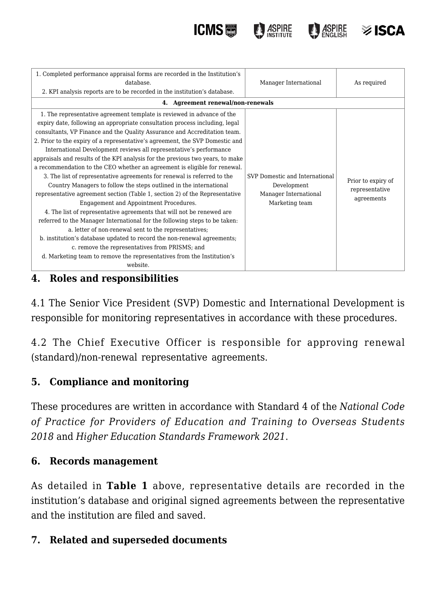



| 1. Completed performance appraisal forms are recorded in the Institution's     |                                |                    |  |
|--------------------------------------------------------------------------------|--------------------------------|--------------------|--|
| database.                                                                      | Manager International          | As required        |  |
| 2. KPI analysis reports are to be recorded in the institution's database.      |                                |                    |  |
| 4. Agreement renewal/non-renewals                                              |                                |                    |  |
| 1. The representative agreement template is reviewed in advance of the         |                                |                    |  |
| expiry date, following an appropriate consultation process including, legal    |                                |                    |  |
| consultants, VP Finance and the Quality Assurance and Accreditation team.      |                                |                    |  |
| 2. Prior to the expiry of a representative's agreement, the SVP Domestic and   |                                |                    |  |
| International Development reviews all representative's performance             |                                |                    |  |
| appraisals and results of the KPI analysis for the previous two years, to make |                                |                    |  |
| a recommendation to the CEO whether an agreement is eligible for renewal.      |                                |                    |  |
| 3. The list of representative agreements for renewal is referred to the        | SVP Domestic and International | Prior to expiry of |  |
| Country Managers to follow the steps outlined in the international             | Development                    | representative     |  |
| representative agreement section (Table 1, section 2) of the Representative    | Manager International          | agreements         |  |
| Engagement and Appointment Procedures.                                         | Marketing team                 |                    |  |
| 4. The list of representative agreements that will not be renewed are          |                                |                    |  |
| referred to the Manager International for the following steps to be taken:     |                                |                    |  |
| a. letter of non-renewal sent to the representatives;                          |                                |                    |  |
| b. institution's database updated to record the non-renewal agreements;        |                                |                    |  |
| c. remove the representatives from PRISMS; and                                 |                                |                    |  |
| d. Marketing team to remove the representatives from the Institution's         |                                |                    |  |
| website.                                                                       |                                |                    |  |

**ICMS圖** 

#### **4. Roles and responsibilities**

4.1 The Senior Vice President (SVP) Domestic and International Development is responsible for monitoring representatives in accordance with these procedures.

4.2 The Chief Executive Officer is responsible for approving renewal (standard)/non-renewal representative agreements.

#### **5. Compliance and monitoring**

These procedures are written in accordance with Standard 4 of the *National Code of Practice for Providers of Education and Training to Overseas Students 2018* and *Higher Education Standards Framework 2021*.

#### **6. Records management**

As detailed in **Table 1** above, representative details are recorded in the institution's database and original signed agreements between the representative and the institution are filed and saved.

#### **7. Related and superseded documents**